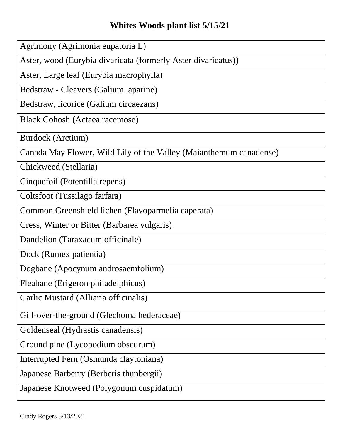## **Whites Woods plant list 5/15/21**

| Agrimony (Agrimonia eupatoria L)                                   |
|--------------------------------------------------------------------|
| Aster, wood (Eurybia divaricata (formerly Aster divaricatus))      |
| Aster, Large leaf (Eurybia macrophylla)                            |
| Bedstraw - Cleavers (Galium. aparine)                              |
| Bedstraw, licorice (Galium circaezans)                             |
| <b>Black Cohosh (Actaea racemose)</b>                              |
| Burdock (Arctium)                                                  |
| Canada May Flower, Wild Lily of the Valley (Maianthemum canadense) |
| Chickweed (Stellaria)                                              |
| Cinquefoil (Potentilla repens)                                     |
| Coltsfoot (Tussilago farfara)                                      |
| Common Greenshield lichen (Flavoparmelia caperata)                 |
| Cress, Winter or Bitter (Barbarea vulgaris)                        |
| Dandelion (Taraxacum officinale)                                   |
| Dock (Rumex patientia)                                             |
| Dogbane (Apocynum androsaemfolium)                                 |
| Fleabane (Erigeron philadelphicus)                                 |
| Garlic Mustard (Alliaria officinalis)                              |
| Gill-over-the-ground (Glechoma hederaceae)                         |
| Goldenseal (Hydrastis canadensis)                                  |
| Ground pine (Lycopodium obscurum)                                  |
| Interrupted Fern (Osmunda claytoniana)                             |
| Japanese Barberry (Berberis thunbergii)                            |
| Japanese Knotweed (Polygonum cuspidatum)                           |